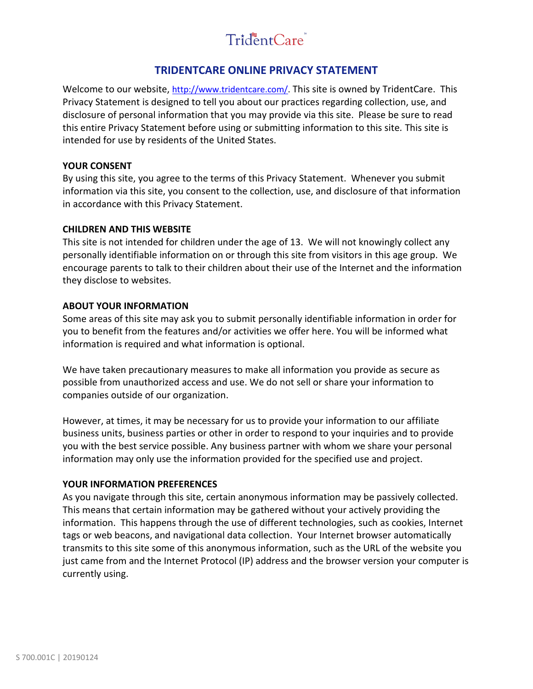# TridentCare

# **TRIDENTCARE ONLINE PRIVACY STATEMENT**

Welcome to our website, [http://www.tridentcare.com/.](http://www.tridentcare.com/) This site is owned by TridentCare. This Privacy Statement is designed to tell you about our practices regarding collection, use, and disclosure of personal information that you may provide via this site. Please be sure to read this entire Privacy Statement before using or submitting information to this site*.* This site is intended for use by residents of the United States.

#### **YOUR CONSENT**

By using this site, you agree to the terms of this Privacy Statement. Whenever you submit information via this site, you consent to the collection, use, and disclosure of that information in accordance with this Privacy Statement.

#### **CHILDREN AND THIS WEBSITE**

This site is not intended for children under the age of 13. We will not knowingly collect any personally identifiable information on or through this site from visitors in this age group. We encourage parents to talk to their children about their use of the Internet and the information they disclose to websites.

#### **ABOUT YOUR INFORMATION**

Some areas of this site may ask you to submit personally identifiable information in order for you to benefit from the features and/or activities we offer here. You will be informed what information is required and what information is optional.

We have taken precautionary measures to make all information you provide as secure as possible from unauthorized access and use. We do not sell or share your information to companies outside of our organization.

However, at times, it may be necessary for us to provide your information to our affiliate business units, business parties or other in order to respond to your inquiries and to provide you with the best service possible. Any business partner with whom we share your personal information may only use the information provided for the specified use and project.

#### **YOUR INFORMATION PREFERENCES**

As you navigate through this site, certain anonymous information may be passively collected. This means that certain information may be gathered without your actively providing the information. This happens through the use of different technologies, such as cookies, Internet tags or web beacons, and navigational data collection. Your Internet browser automatically transmits to this site some of this anonymous information, such as the URL of the website you just came from and the Internet Protocol (IP) address and the browser version your computer is currently using.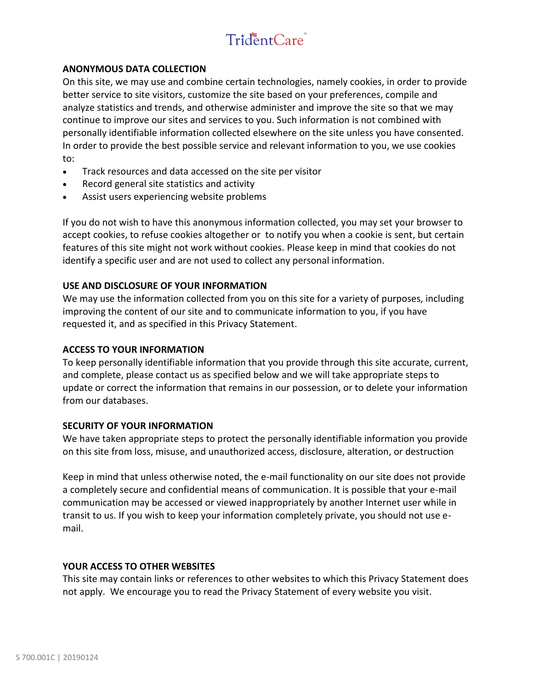# TridentCare

# **ANONYMOUS DATA COLLECTION**

On this site, we may use and combine certain technologies, namely cookies, in order to provide better service to site visitors, customize the site based on your preferences, compile and analyze statistics and trends, and otherwise administer and improve the site so that we may continue to improve our sites and services to you. Such information is not combined with personally identifiable information collected elsewhere on the site unless you have consented. In order to provide the best possible service and relevant information to you, we use cookies to:

- Track resources and data accessed on the site per visitor
- Record general site statistics and activity
- Assist users experiencing website problems

If you do not wish to have this anonymous information collected, you may set your browser to accept cookies, to refuse cookies altogether or to notify you when a cookie is sent, but certain features of this site might not work without cookies. Please keep in mind that cookies do not identify a specific user and are not used to collect any personal information.

# **USE AND DISCLOSURE OF YOUR INFORMATION**

We may use the information collected from you on this site for a variety of purposes, including improving the content of our site and to communicate information to you, if you have requested it, and as specified in this Privacy Statement.

# **ACCESS TO YOUR INFORMATION**

To keep personally identifiable information that you provide through this site accurate, current, and complete, please contact us as specified below and we will take appropriate steps to update or correct the information that remains in our possession, or to delete your information from our databases.

# **SECURITY OF YOUR INFORMATION**

We have taken appropriate steps to protect the personally identifiable information you provide on this site from loss, misuse, and unauthorized access, disclosure, alteration, or destruction

Keep in mind that unless otherwise noted, the e-mail functionality on our site does not provide a completely secure and confidential means of communication. It is possible that your e-mail communication may be accessed or viewed inappropriately by another Internet user while in transit to us. If you wish to keep your information completely private, you should not use email.

# **YOUR ACCESS TO OTHER WEBSITES**

This site may contain links or references to other websites to which this Privacy Statement does not apply. We encourage you to read the Privacy Statement of every website you visit.